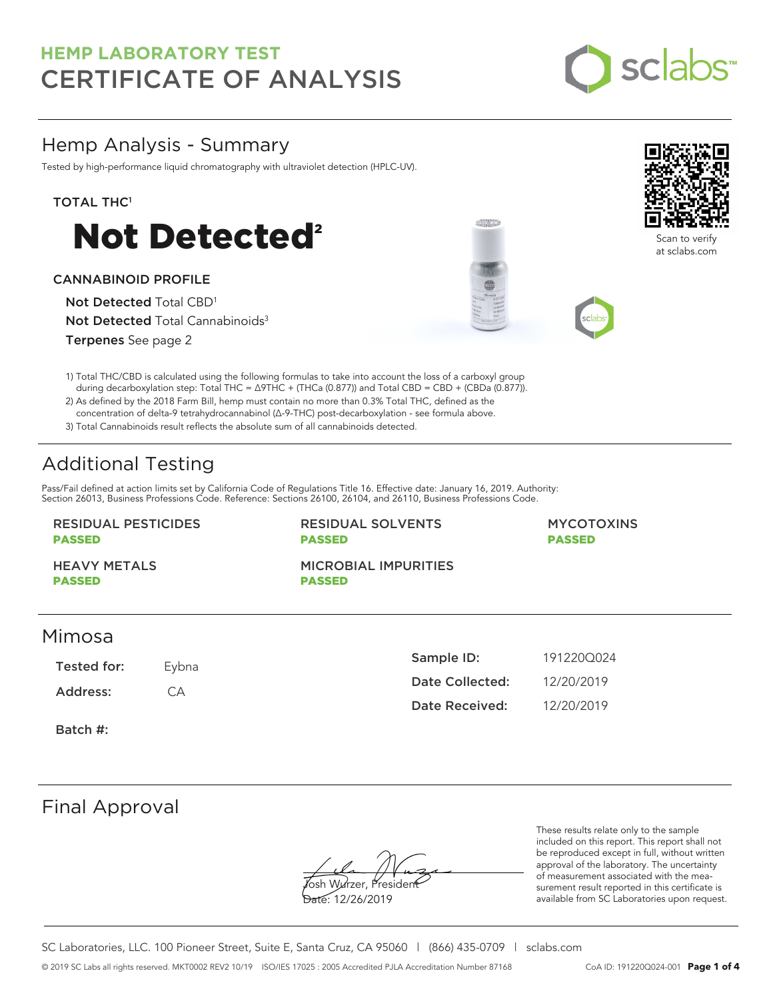

## Hemp Analysis - Summary

Tested by high-performance liquid chromatography with ultraviolet detection (HPLC-UV).

### TOTAL THC<sup>1</sup>



### CANNABINOID PROFILE

Not Detected Total CBD<sup>1</sup> Not Detected Total Cannabinoids<sup>3</sup>

Terpenes See page 2

1) Total THC/CBD is calculated using the following formulas to take into account the loss of a carboxyl group during decarboxylation step: Total THC = ∆9THC + (THCa (0.877)) and Total CBD = CBD + (CBDa (0.877)).

2) As defined by the 2018 Farm Bill, hemp must contain no more than 0.3% Total THC, defined as the concentration of delta-9 tetrahydrocannabinol (Δ-9-THC) post-decarboxylation - see formula above.

3) Total Cannabinoids result reflects the absolute sum of all cannabinoids detected.

# Additional Testing

Pass/Fail defined at action limits set by California Code of Regulations Title 16. Effective date: January 16, 2019. Authority: Section 26013, Business Professions Code. Reference: Sections 26100, 26104, and 26110, Business Professions Code.

#### RESIDUAL PESTICIDES PASSED

RESIDUAL SOLVENTS PASSED

#### MYCOTOXINS PASSED

HEAVY METALS PASSED

MICROBIAL IMPURITIES PASSED

## Mimosa

Tested for: Eybna Address: CA

| Sample ID:      | 1912200024 |
|-----------------|------------|
| Date Collected: | 12/20/2019 |
| Date Received:  | 12/20/2019 |

Batch #:

## Final Approval

Yosh Wurzer, Presider

Date: 12/26/2019

These results relate only to the sample included on this report. This report shall not be reproduced except in full, without written approval of the laboratory. The uncertainty of measurement associated with the measurement result reported in this certificate is available from SC Laboratories upon request.



Scan to verify at sclabs.com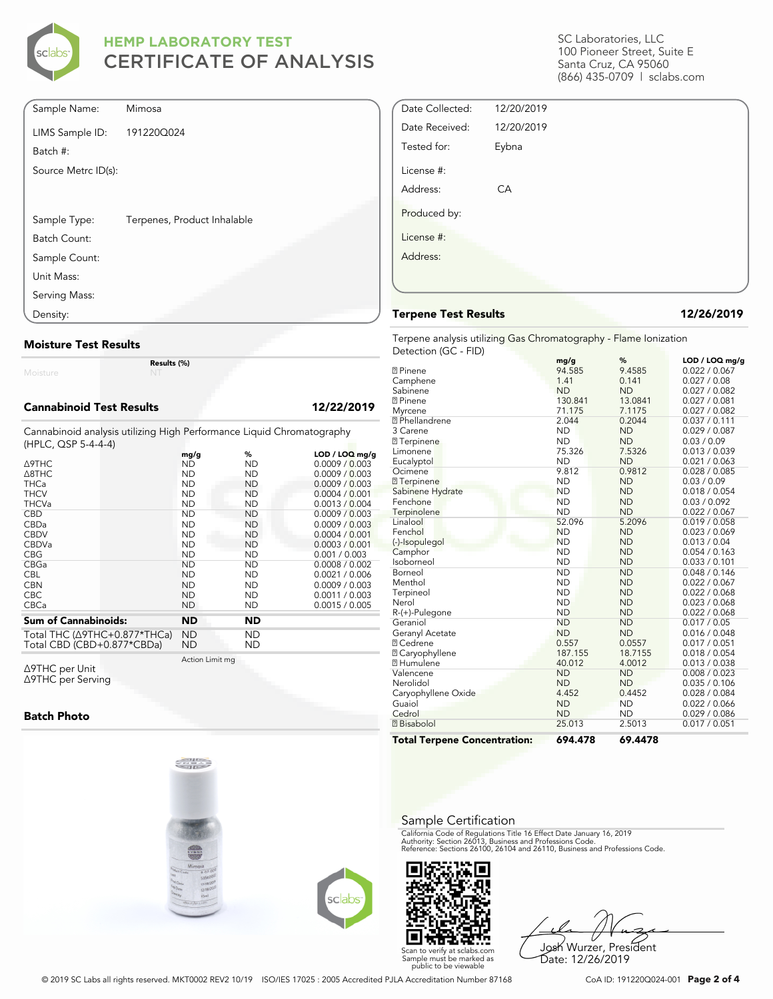

| Sample Name:        | Mimosa                      |  |
|---------------------|-----------------------------|--|
| LIMS Sample ID:     | 191220Q024                  |  |
| Batch #:            |                             |  |
| Source Metrc ID(s): |                             |  |
|                     |                             |  |
|                     |                             |  |
| Sample Type:        | Terpenes, Product Inhalable |  |
| Batch Count:        |                             |  |
| Sample Count:       |                             |  |
| Unit Mass:          |                             |  |
| Serving Mass:       |                             |  |
| Density:            |                             |  |

#### **Moisture Test Results**

Moisture

**Results (%)**

#### **Cannabinoid Test Results 12/22/2019**

Cannabinoid analysis utilizing High Performance Liquid Chromatography (HPLC, QSP 5-4-4-4)

| <b>A9THC</b><br>A8THC<br><b>THCa</b><br><b>THCV</b><br><b>THCVa</b> | mg/g<br>ND<br><b>ND</b><br><b>ND</b><br><b>ND</b><br><b>ND</b> | %<br>ND<br><b>ND</b><br><b>ND</b><br>ND<br><b>ND</b> | LOD / LOQ mg/g<br>0.0009 / 0.003<br>0.0009 / 0.003<br>0.0009 / 0.003<br>0.0004 / 0.001<br>0.0013 / 0.004 |
|---------------------------------------------------------------------|----------------------------------------------------------------|------------------------------------------------------|----------------------------------------------------------------------------------------------------------|
| <b>CBD</b>                                                          | <b>ND</b>                                                      | <b>ND</b>                                            | 0.0009 / 0.003                                                                                           |
| CBDa                                                                | <b>ND</b>                                                      | ND                                                   | 0.0009 / 0.003                                                                                           |
| <b>CBDV</b>                                                         | <b>ND</b>                                                      | <b>ND</b>                                            | 0.0004 / 0.001                                                                                           |
| <b>CBDVa</b>                                                        | <b>ND</b>                                                      | ND                                                   | 0.0003 / 0.001                                                                                           |
| <b>CBG</b>                                                          | ND                                                             | ND                                                   | 0.001 / 0.003                                                                                            |
| CBGa                                                                | <b>ND</b>                                                      | <b>ND</b>                                            | 0.0008 / 0.002                                                                                           |
| <b>CBL</b>                                                          | <b>ND</b>                                                      | ND                                                   | 0.0021 / 0.006                                                                                           |
| <b>CBN</b>                                                          | <b>ND</b>                                                      | <b>ND</b>                                            | 0.0009 / 0.003                                                                                           |
| <b>CBC</b>                                                          | <b>ND</b>                                                      | <b>ND</b>                                            | 0.0011 / 0.003                                                                                           |
| <b>CBCa</b>                                                         | <b>ND</b>                                                      | ND                                                   | 0.0015 / 0.005                                                                                           |
| <b>Sum of Cannabinoids:</b>                                         | <b>ND</b>                                                      | <b>ND</b>                                            |                                                                                                          |
| Total THC (Δ9THC+0.877*THCa)                                        | <b>ND</b>                                                      | <b>ND</b>                                            |                                                                                                          |

Total CBD (CBD+0.877\*CBDa) ND ND

Action Limit mg

Δ9THC per Unit Δ9THC per Serving

#### **Batch Photo**





Josh Wurzer, President Date: 12/26/2019

SC Laboratories, LLC 100 Pioneer Street, Suite E Santa Cruz, CA 95060 (866) 435-0709 | sclabs.com

| Date Collected: | 12/20/2019 |  |
|-----------------|------------|--|
| Date Received:  | 12/20/2019 |  |
| Tested for:     | Eybna      |  |
| License #:      |            |  |
| Address:        | CA         |  |
| Produced by:    |            |  |
| License #:      |            |  |
| Address:        |            |  |
|                 |            |  |
|                 |            |  |

#### **Terpene Test Results 12/26/2019**

Terpene analysis utilizing Gas Chromatography - Flame Ionization Detection (GC - FID)

| <b>Total Terpene Concentration:</b> | 694.478   | 69.4478   |                |
|-------------------------------------|-----------|-----------|----------------|
| <b>7</b> Bisabolol                  | 25.013    | 2.5013    | 0.017 / 0.051  |
| Cedrol                              | <b>ND</b> | <b>ND</b> | 0.029 / 0.086  |
| Guaiol                              | <b>ND</b> | <b>ND</b> | 0.022 / 0.066  |
| Caryophyllene Oxide                 | 4.452     | 0.4452    | 0.028 / 0.084  |
| Nerolidol                           | <b>ND</b> | <b>ND</b> | 0.035 / 0.106  |
| Valencene                           | <b>ND</b> | <b>ND</b> | 0.008 / 0.023  |
| <b>7</b> Humulene                   | 40.012    | 4.0012    | 0.013 / 0.038  |
| <b>2 Caryophyllene</b>              | 187.155   | 18.7155   | 0.018 / 0.054  |
| <b>7 Cedrene</b>                    | 0.557     | 0.0557    | 0.017 / 0.051  |
| Geranyl Acetate                     | <b>ND</b> | <b>ND</b> | 0.016 / 0.048  |
| Geraniol                            | <b>ND</b> | <b>ND</b> | 0.017 / 0.05   |
| R-(+)-Pulegone                      | <b>ND</b> | <b>ND</b> | 0.022 / 0.068  |
| Nerol                               | <b>ND</b> | <b>ND</b> | 0.023 / 0.068  |
| Terpineol                           | <b>ND</b> | <b>ND</b> | 0.022 / 0.068  |
| Menthol                             | <b>ND</b> | <b>ND</b> | 0.022 / 0.067  |
| Borneol                             | <b>ND</b> | <b>ND</b> | 0.048 / 0.146  |
| Isoborneol                          | <b>ND</b> | <b>ND</b> | 0.033 / 0.101  |
| Camphor                             | <b>ND</b> | <b>ND</b> | 0.054 / 0.163  |
| (-)-Isopulegol                      | <b>ND</b> | <b>ND</b> | 0.013 / 0.04   |
| Fenchol                             | <b>ND</b> | <b>ND</b> | 0.023 / 0.069  |
| Linalool                            | 52.096    | 5.2096    | 0.019 / 0.058  |
| Terpinolene                         | <b>ND</b> | <b>ND</b> | 0.022 / 0.067  |
| Fenchone                            | <b>ND</b> | <b>ND</b> | 0.03 / 0.092   |
| Sabinene Hydrate                    | <b>ND</b> | <b>ND</b> | 0.018 / 0.054  |
| 77 Terpinene                        | <b>ND</b> | <b>ND</b> | 0.03 / 0.09    |
| Ocimene                             | 9.812     | 0.9812    | 0.028 / 0.085  |
| Eucalyptol                          | <b>ND</b> | <b>ND</b> | 0.021 / 0.063  |
| Limonene                            | 75.326    | 7.5326    | 0.013 / 0.039  |
| <b>7</b> Terpinene                  | <b>ND</b> | <b>ND</b> | 0.03 / 0.09    |
| 3 Carene                            | <b>ND</b> | <b>ND</b> | 0.029 / 0.087  |
| <b>7</b> Phellandrene               | 2.044     | 0.2044    | 0.037 / 0.111  |
| Myrcene                             | 71.175    | 7.1175    | 0.027 / 0.082  |
| <b>7</b> Pinene                     | 130.841   | 13.0841   | 0.027 / 0.081  |
| Sabinene                            | <b>ND</b> | <b>ND</b> | 0.027 / 0.082  |
| Camphene                            | 1.41      | 0.141     | 0.027 / 0.08   |
| <b>7</b> Pinene                     | 94.585    | 9.4585    | 0.022 / 0.067  |
|                                     | mg/g      | ℅         | LOD / LOQ mg/g |

#### Sample Certification

California Code of Regulations Title 16 Effect Date January 16, 2019<br>Authority: Section 26013, Business and Professions Code.<br>Reference: Sections 26100, 26104 and 26110, Business and Professions Code.

Scan to verify at sclabs.com Sample must be marked as public to be viewable

```
© 2019 SC Labs all rights reserved. MKT0002 REV2 10/19 ISO/IES 17025 : 2005 Accredited PJLA Accreditation Number 87168 CoA ID: 191220Q024-001 Page 2 of 4
```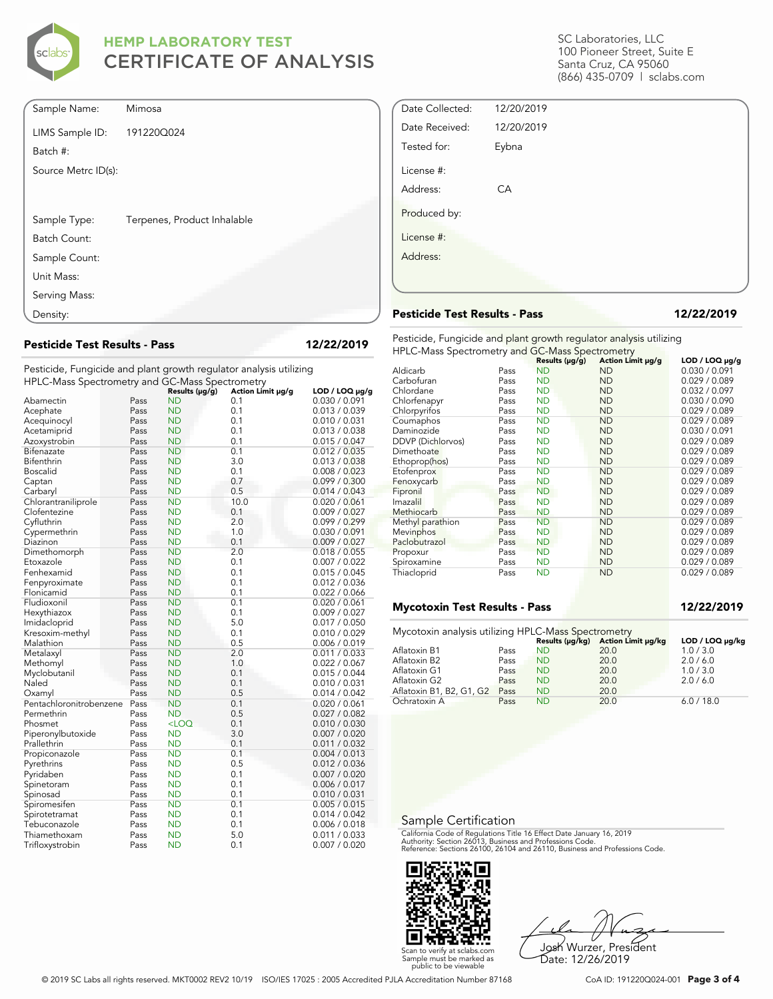

| Sample Name:        | Mimosa                      |
|---------------------|-----------------------------|
| LIMS Sample ID:     | 191220Q024                  |
| Batch #:            |                             |
| Source Metrc ID(s): |                             |
|                     |                             |
| Sample Type:        | Terpenes, Product Inhalable |
| Batch Count:        |                             |
| Sample Count:       |                             |
| Unit Mass:          |                             |
| Serving Mass:       |                             |
| Density:            |                             |

**Pesticide Test Results - Pass 12/22/2019**

Pesticide, Fungicide and plant growth regulator analysis utilizing HPLC-Mass Spectrometry and GC-Mass Spectrometry

| The LC Mass spectrometry and GC Mass spectrometry |              |                        |                   |                                      |
|---------------------------------------------------|--------------|------------------------|-------------------|--------------------------------------|
|                                                   |              | Results (µg/g)         | Action Limit µg/g | LOD / LOQ $\mu$ g/g<br>0.030 / 0.091 |
| Abamectin                                         | Pass<br>Pass | ND<br><b>ND</b>        | 0.1<br>0.1        | 0.013 / 0.039                        |
| Acephate                                          |              |                        |                   |                                      |
| Acequinocyl                                       | Pass         | ND                     | 0.1               | 0.010 / 0.031                        |
| Acetamiprid                                       | Pass         | <b>ND</b>              | 0.1               | 0.013 / 0.038                        |
| Azoxystrobin                                      | Pass         | <b>ND</b>              | 0.1               | 0.015 / 0.047                        |
| Bifenazate                                        | Pass         | <b>ND</b>              | 0.1               | 0.012 / 0.035                        |
| Bifenthrin                                        | Pass         | <b>ND</b>              | 3.0               | 0.013 / 0.038                        |
| <b>Boscalid</b>                                   | Pass         | ND                     | 0.1               | 0.008 / 0.023                        |
| Captan                                            | Pass         | <b>ND</b>              | 0.7               | 0.099 / 0.300                        |
| Carbaryl                                          | Pass         | <b>ND</b>              | 0.5               | 0.014 / 0.043                        |
| Chlorantraniliprole                               | Pass         | <b>ND</b>              | 10.0              | 0.020 / 0.061                        |
| Clofentezine                                      | Pass         | <b>ND</b>              | 0.1               | 0.009 / 0.027                        |
| Cyfluthrin                                        | Pass         | ND                     | 2.0               | 0.099 / 0.299                        |
| Cypermethrin                                      | Pass         | <b>ND</b>              | 1.0               | 0.030 / 0.091                        |
| Diazinon                                          | Pass         | <b>ND</b>              | 0.1               | 0.009 / 0.027                        |
| Dimethomorph                                      | Pass         | <b>ND</b>              | 2.0               | 0.018 / 0.055                        |
| Etoxazole                                         | Pass         | <b>ND</b>              | 0.1               | 0.007 / 0.022                        |
| Fenhexamid                                        | Pass         | <b>ND</b>              | 0.1               | 0.015 / 0.045                        |
| Fenpyroximate                                     | Pass         | <b>ND</b>              | 0.1               | 0.012 / 0.036                        |
| Flonicamid                                        | Pass         | <b>ND</b>              | 0.1               | 0.022 / 0.066                        |
| Fludioxonil                                       | Pass         | <b>ND</b>              | 0.1               | 0.020 / 0.061                        |
| Hexythiazox                                       | Pass         | <b>ND</b>              | 0.1               | 0.009 / 0.027                        |
| Imidacloprid                                      | Pass         | ND                     | 5.0               | 0.017 / 0.050                        |
| Kresoxim-methyl                                   | Pass         | <b>ND</b>              | 0.1               | 0.010 / 0.029                        |
| Malathion                                         | Pass         | <b>ND</b>              | 0.5               | 0.006 / 0.019                        |
| Metalaxyl                                         | Pass         | ND                     | 2.0               | 0.011 / 0.033                        |
| Methomyl                                          | Pass         | <b>ND</b>              | 1.0               | 0.022 / 0.067                        |
| Myclobutanil                                      | Pass         | ND                     | 0.1               | 0.015 / 0.044                        |
| Naled                                             | Pass         | <b>ND</b>              | 0.1               | 0.010 / 0.031                        |
| Oxamyl                                            | Pass         | <b>ND</b>              | 0.5               | 0.014 / 0.042                        |
| Pentachloronitrobenzene                           | Pass         | <b>ND</b>              | 0.1               | 0.020 / 0.061                        |
| Permethrin                                        | Pass         | <b>ND</b>              | 0.5               | 0.027 / 0.082                        |
| Phosmet                                           | Pass         | $<$ LOQ                | 0.1               | 0.010 / 0.030                        |
| Piperonylbutoxide                                 | Pass         | ND                     | 3.0               | 0.007 / 0.020                        |
| Prallethrin                                       | Pass         | <b>ND</b>              | 0.1               | 0.011 / 0.032                        |
| Propiconazole                                     | Pass         | <b>ND</b>              | 0.1               | 0.004 / 0.013                        |
| Pyrethrins                                        | Pass         | <b>ND</b>              | 0.5               | 0.012 / 0.036                        |
| Pyridaben                                         | Pass         | <b>ND</b>              | 0.1               | 0.007 / 0.020                        |
| Spinetoram                                        | Pass         | ND                     | 0.1               | 0.006 / 0.017                        |
| Spinosad                                          | Pass         | <b>ND</b>              | 0.1               | 0.010 / 0.031                        |
| Spiromesifen                                      | Pass         | <b>ND</b>              | 0.1               | 0.005 / 0.015                        |
| Spirotetramat                                     | Pass         | <b>ND</b><br><b>ND</b> | 0.1<br>0.1        | 0.014 / 0.042<br>0.006 / 0.018       |
| Tebuconazole                                      | Pass         |                        | 5.0               |                                      |
| Thiamethoxam                                      | Pass         | ND                     |                   | 0.011 / 0.033                        |
| Trifloxystrobin                                   | Pass         | <b>ND</b>              | 0.1               | 0.007 / 0.020                        |

SC Laboratories, LLC 100 Pioneer Street, Suite E Santa Cruz, CA 95060 (866) 435-0709 | sclabs.com

| Date Collected: | 12/20/2019 |
|-----------------|------------|
| Date Received:  | 12/20/2019 |
| Tested for:     | Eybna      |
| License #:      |            |
| Address:        | CA         |
| Produced by:    |            |
| License #:      |            |
| Address:        |            |
|                 |            |

#### **Pesticide Test Results - Pass 12/22/2019**

Pesticide, Fungicide and plant growth regulator analysis utilizing HPLC-Mass Spectrometry and GC-Mass Spectrometry

|                   |      | Results (µg/g) | Action Limit µg/g | $LOD / LOQ \mu g/g$ |
|-------------------|------|----------------|-------------------|---------------------|
| Aldicarb          | Pass | <b>ND</b>      | <b>ND</b>         | 0.030 / 0.091       |
| Carbofuran        | Pass | <b>ND</b>      | <b>ND</b>         | 0.029 / 0.089       |
| Chlordane         | Pass | <b>ND</b>      | <b>ND</b>         | 0.032 / 0.097       |
| Chlorfenapyr      | Pass | <b>ND</b>      | <b>ND</b>         | 0.030 / 0.090       |
| Chlorpyrifos      | Pass | <b>ND</b>      | <b>ND</b>         | 0.029 / 0.089       |
| Coumaphos         | Pass | <b>ND</b>      | <b>ND</b>         | 0.029 / 0.089       |
| Daminozide        | Pass | <b>ND</b>      | <b>ND</b>         | 0.030 / 0.091       |
| DDVP (Dichlorvos) | Pass | ND             | ND                | 0.029 / 0.089       |
| Dimethoate        | Pass | <b>ND</b>      | <b>ND</b>         | 0.029 / 0.089       |
| Ethoprop(hos)     | Pass | <b>ND</b>      | <b>ND</b>         | 0.029 / 0.089       |
| Etofenprox        | Pass | <b>ND</b>      | <b>ND</b>         | 0.029 / 0.089       |
| Fenoxycarb        | Pass | <b>ND</b>      | <b>ND</b>         | 0.029 / 0.089       |
| Fipronil          | Pass | <b>ND</b>      | <b>ND</b>         | 0.029 / 0.089       |
| Imazalil          | Pass | ND             | <b>ND</b>         | 0.029 / 0.089       |
| Methiocarb        | Pass | <b>ND</b>      | <b>ND</b>         | 0.029 / 0.089       |
| Methyl parathion  | Pass | <b>ND</b>      | <b>ND</b>         | 0.029 / 0.089       |
| Mevinphos         | Pass | <b>ND</b>      | ND                | 0.029 / 0.089       |
| Paclobutrazol     | Pass | <b>ND</b>      | <b>ND</b>         | 0.029 / 0.089       |
| Propoxur          | Pass | <b>ND</b>      | <b>ND</b>         | 0.029 / 0.089       |
| Spiroxamine       | Pass | <b>ND</b>      | <b>ND</b>         | 0.029 / 0.089       |
| Thiacloprid       | Pass | <b>ND</b>      | <b>ND</b>         | 0.029 / 0.089       |

#### **Mycotoxin Test Results - Pass 12/22/2019**

| Mycotoxin analysis utilizing HPLC-Mass Spectrometry |      |           |                                    |                 |
|-----------------------------------------------------|------|-----------|------------------------------------|-----------------|
|                                                     |      |           | Results (µg/kg) Action Limit µg/kg | LOD / LOQ µg/kg |
| Aflatoxin B1                                        | Pass | <b>ND</b> | 20.0                               | 1.0 / 3.0       |
| Aflatoxin B2                                        | Pass | <b>ND</b> | 20.0                               | 2.0/6.0         |
| Aflatoxin G1                                        | Pass | <b>ND</b> | 20.0                               | 1.0 / 3.0       |
| Aflatoxin G2                                        | Pass | <b>ND</b> | 20.0                               | 2.0 / 6.0       |
| Aflatoxin B1, B2, G1, G2                            | Pass | <b>ND</b> | 20.0                               |                 |
| Ochratoxin A                                        | Pass | <b>ND</b> | 20.0                               | 6.0 / 18.0      |

#### Sample Certification

California Code of Regulations Title 16 Effect Date January 16, 2019<br>Authority: Section 26013, Business and Professions Code.<br>Reference: Sections 26100, 26104 and 26110, Business and Professions Code.



Josh Wurzer, President Date: 12/26/2019

© 2019 SC Labs all rights reserved. MKT0002 REV2 10/19 ISO/IES 17025 : 2005 Accredited PJLA Accreditation Number 87168 CoA ID: 191220Q024-001 **Page 3 of 4**